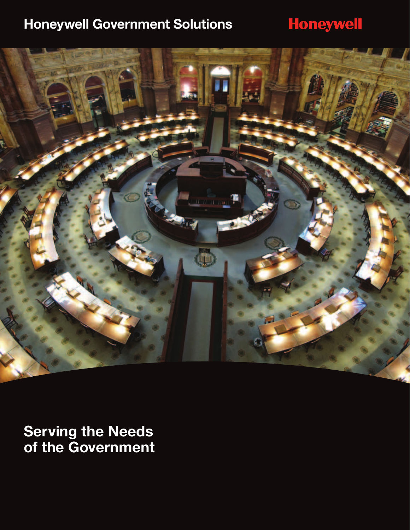### **Honeywell Government Solutions**

# **Honeywell**



**Serving the Needs of the Government**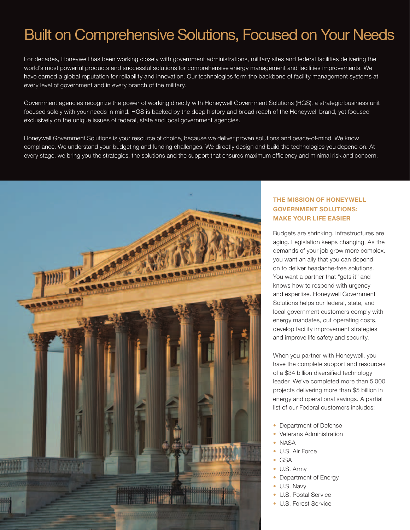# Built on Comprehensive Solutions, Focused on Your Needs

For decades, Honeywell has been working closely with government administrations, military sites and federal facilities delivering the world's most powerful products and successful solutions for comprehensive energy management and facilities improvements. We have earned a global reputation for reliability and innovation. Our technologies form the backbone of facility management systems at every level of government and in every branch of the military.

Government agencies recognize the power of working directly with Honeywell Government Solutions (HGS), a strategic business unit focused solely with your needs in mind. HGS is backed by the deep history and broad reach of the Honeywell brand, yet focused exclusively on the unique issues of federal, state and local government agencies.

Honeywell Government Solutions is your resource of choice, because we deliver proven solutions and peace-of-mind. We know compliance. We understand your budgeting and funding challenges. We directly design and build the technologies you depend on. At every stage, we bring you the strategies, the solutions and the support that ensures maximum efficiency and minimal risk and concern.



### **The Mission of honeywell government solutions: Make Your Life Easier**

Budgets are shrinking. Infrastructures are aging. Legislation keeps changing. As the demands of your job grow more complex, you want an ally that you can depend on to deliver headache-free solutions. You want a partner that "gets it" and knows how to respond with urgency and expertise. Honeywell Government Solutions helps our federal, state, and local government customers comply with energy mandates, cut operating costs, develop facility improvement strategies and improve life safety and security.

When you partner with Honeywell, you have the complete support and resources of a \$34 billion diversified technology leader. We've completed more than 5,000 projects delivering more than \$5 billion in energy and operational savings. A partial list of our Federal customers includes:

- Department of Defense
- Veterans Administration
- NASA
- U.S. Air Force
- GSA
- U.S. Army
- Department of Energy
- U.S. Navy
- U.S. Postal Service
- U.S. Forest Service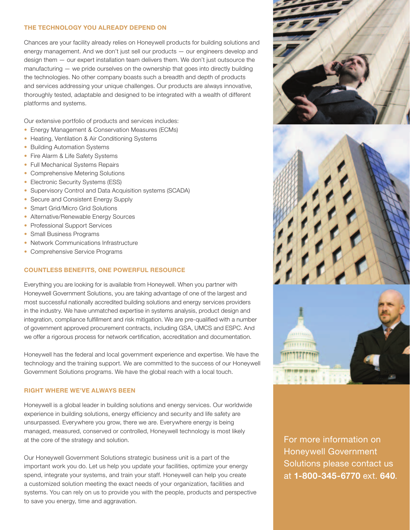# Built on Computer Solutions, The Technology You Already Depend O<br>The Technology Your focused already relige on Henology

Chances are your facility already relies on Honeywell products for building solutions and energy management. And we don't just sell our products — our engineers develop and design them — our expert installation team delivers them. We don't just outsource the manufacturing — we pride ourselves on the ownership that goes into directly building the technologies. No other company boasts such a breadth and depth of products and services addressing your unique challenges. Our products are always innovative, thoroughly tested, adaptable and designed to be integrated with a wealth of different platforms and systems.

Our extensive portfolio of products and services includes:

- Energy Management & Conservation Measures (ECMs)
- Heating, Ventilation & Air Conditioning Systems
- Building Automation Systems
- Fire Alarm & Life Safety Systems
- Full Mechanical Systems Repairs
- Comprehensive Metering Solutions
- Electronic Security Systems (ESS)
- Supervisory Control and Data Acquisition systems (SCADA)
- Secure and Consistent Energy Supply
- Smart Grid/Micro Grid Solutions
- Alternative/Renewable Energy Sources
- Professional Support Services
- Small Business Programs
- Network Communications Infrastructure
- Comprehensive Service Programs

#### **Countless Benefits, One Powerful Resource**

Everything you are looking for is available from Honeywell. When you partner with Honeywell Government Solutions, you are taking advantage of one of the largest and most successful nationally accredited building solutions and energy services providers in the industry. We have unmatched expertise in systems analysis, product design and integration, compliance fulfillment and risk mitigation. We are pre-qualified with a number of government approved procurement contracts, including GSA, UMCS and ESPC. And we offer a rigorous process for network certification, accreditation and documentation.

Honeywell has the federal and local government experience and expertise. We have the technology and the training support. We are committed to the success of our Honeywell Government Solutions programs. We have the global reach with a local touch.

#### **Right Where We've Always Been**

Honeywell is a global leader in building solutions and energy services. Our worldwide experience in building solutions, energy efficiency and security and life safety are unsurpassed. Everywhere you grow, there we are. Everywhere energy is being managed, measured, conserved or controlled, Honeywell technology is most likely at the core of the strategy and solution.

Our Honeywell Government Solutions strategic business unit is a part of the important work you do. Let us help you update your facilities, optimize your energy spend, integrate your systems, and train your staff. Honeywell can help you create a customized solution meeting the exact needs of your organization, facilities and systems. You can rely on us to provide you with the people, products and perspective to save you energy, time and aggravation.

For more information on Honeywell Government Solutions please contact us at **1-800-345-6770** ext. **640**.